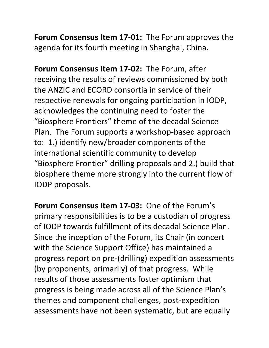**Forum Consensus Item 17-01:** The Forum approves the agenda for its fourth meeting in Shanghai, China.

**Forum Consensus Item 17-02:** The Forum, after receiving the results of reviews commissioned by both the ANZIC and ECORD consortia in service of their respective renewals for ongoing participation in IODP, acknowledges the continuing need to foster the "Biosphere Frontiers" theme of the decadal Science Plan. The Forum supports a workshop-based approach to: 1.) identify new/broader components of the international scientific community to develop "Biosphere Frontier" drilling proposals and 2.) build that biosphere theme more strongly into the current flow of IODP proposals.

**Forum Consensus Item 17-03: One of the Forum's** primary responsibilities is to be a custodian of progress of IODP towards fulfillment of its decadal Science Plan. Since the inception of the Forum, its Chair (in concert with the Science Support Office) has maintained a progress report on pre-(drilling) expedition assessments (by proponents, primarily) of that progress. While results of those assessments foster optimism that progress is being made across all of the Science Plan's themes and component challenges, post-expedition assessments have not been systematic, but are equally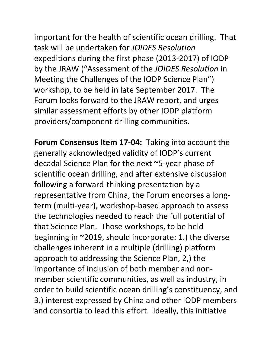important for the health of scientific ocean drilling. That task will be undertaken for *JOIDES Resolution* expeditions during the first phase (2013-2017) of IODP by the JRAW ("Assessment of the *JOIDES Resolution* in Meeting the Challenges of the IODP Science Plan") workshop, to be held in late September 2017. The Forum looks forward to the JRAW report, and urges similar assessment efforts by other IODP platform providers/component drilling communities.

Forum Consensus Item 17-04: Taking into account the generally acknowledged validity of IODP's current decadal Science Plan for the next ~5-year phase of scientific ocean drilling, and after extensive discussion following a forward-thinking presentation by a representative from China, the Forum endorses a longterm (multi-year), workshop-based approach to assess the technologies needed to reach the full potential of that Science Plan. Those workshops, to be held beginning in  $\sim$ 2019, should incorporate: 1.) the diverse challenges inherent in a multiple (drilling) platform approach to addressing the Science Plan, 2,) the importance of inclusion of both member and nonmember scientific communities, as well as industry, in order to build scientific ocean drilling's constituency, and 3.) interest expressed by China and other IODP members and consortia to lead this effort. Ideally, this initiative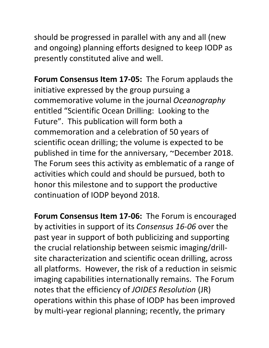should be progressed in parallel with any and all (new and ongoing) planning efforts designed to keep IODP as presently constituted alive and well.

**Forum Consensus Item 17-05:** The Forum applauds the initiative expressed by the group pursuing a commemorative volume in the journal *Oceanography* entitled "Scientific Ocean Drilling: Looking to the Future". This publication will form both a commemoration and a celebration of 50 years of scientific ocean drilling; the volume is expected to be published in time for the anniversary, ~December 2018. The Forum sees this activity as emblematic of a range of activities which could and should be pursued, both to honor this milestone and to support the productive continuation of IODP beyond 2018.

Forum Consensus Item 17-06: The Forum is encouraged by activities in support of its *Consensus 16-06* over the past year in support of both publicizing and supporting the crucial relationship between seismic imaging/drillsite characterization and scientific ocean drilling, across all platforms. However, the risk of a reduction in seismic imaging capabilities internationally remains. The Forum notes that the efficiency of *JOIDES Resolution* (JR) operations within this phase of IODP has been improved by multi-year regional planning; recently, the primary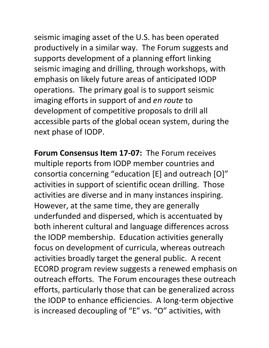seismic imaging asset of the U.S. has been operated productively in a similar way. The Forum suggests and supports development of a planning effort linking seismic imaging and drilling, through workshops, with emphasis on likely future areas of anticipated IODP operations. The primary goal is to support seismic imaging efforts in support of and *en route* to development of competitive proposals to drill all accessible parts of the global ocean system, during the next phase of IODP.

**Forum Consensus Item 17-07:** The Forum receives multiple reports from IODP member countries and consortia concerning "education  $[E]$  and outreach  $[O]$ " activities in support of scientific ocean drilling. Those activities are diverse and in many instances inspiring. However, at the same time, they are generally underfunded and dispersed, which is accentuated by both inherent cultural and language differences across the IODP membership. Education activities generally focus on development of curricula, whereas outreach activities broadly target the general public. A recent ECORD program review suggests a renewed emphasis on outreach efforts. The Forum encourages these outreach efforts, particularly those that can be generalized across the IODP to enhance efficiencies. A long-term objective is increased decoupling of "E" vs. "O" activities, with